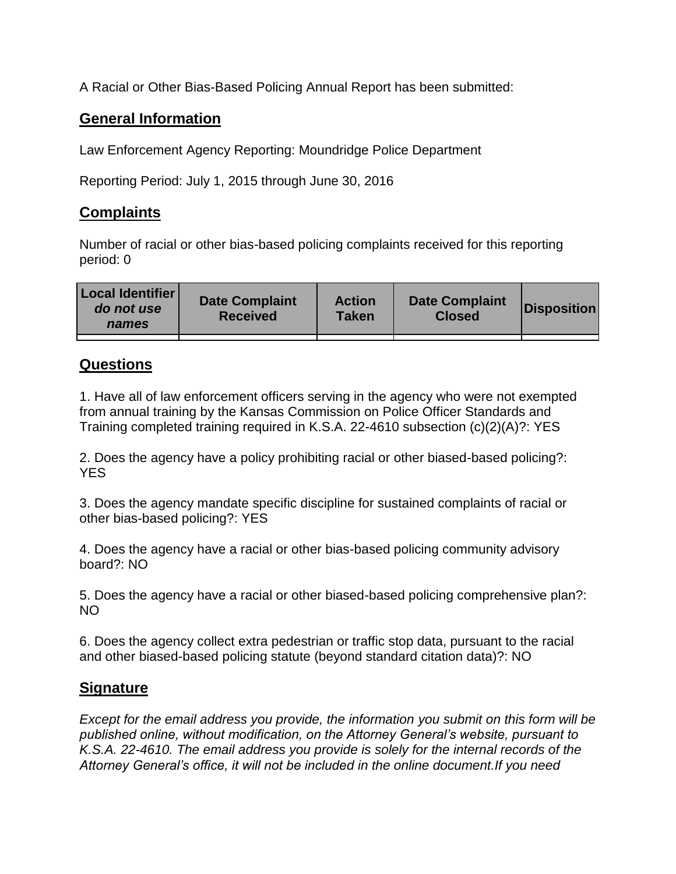A Racial or Other Bias-Based Policing Annual Report has been submitted:

## **General Information**

Law Enforcement Agency Reporting: Moundridge Police Department

Reporting Period: July 1, 2015 through June 30, 2016

## **Complaints**

Number of racial or other bias-based policing complaints received for this reporting period: 0

| <b>Local Identifier</b><br>do not use<br>names | <b>Date Complaint</b><br><b>Received</b> | <b>Action</b><br><b>Taken</b> | <b>Date Complaint</b><br><b>Closed</b> | Disposition |
|------------------------------------------------|------------------------------------------|-------------------------------|----------------------------------------|-------------|
|                                                |                                          |                               |                                        |             |

## **Questions**

1. Have all of law enforcement officers serving in the agency who were not exempted from annual training by the Kansas Commission on Police Officer Standards and Training completed training required in K.S.A. 22-4610 subsection (c)(2)(A)?: YES

2. Does the agency have a policy prohibiting racial or other biased-based policing?: YES

3. Does the agency mandate specific discipline for sustained complaints of racial or other bias-based policing?: YES

4. Does the agency have a racial or other bias-based policing community advisory board?: NO

5. Does the agency have a racial or other biased-based policing comprehensive plan?: NO

6. Does the agency collect extra pedestrian or traffic stop data, pursuant to the racial and other biased-based policing statute (beyond standard citation data)?: NO

## **Signature**

*Except for the email address you provide, the information you submit on this form will be published online, without modification, on the Attorney General's website, pursuant to K.S.A. 22-4610. The email address you provide is solely for the internal records of the Attorney General's office, it will not be included in the online document.If you need*